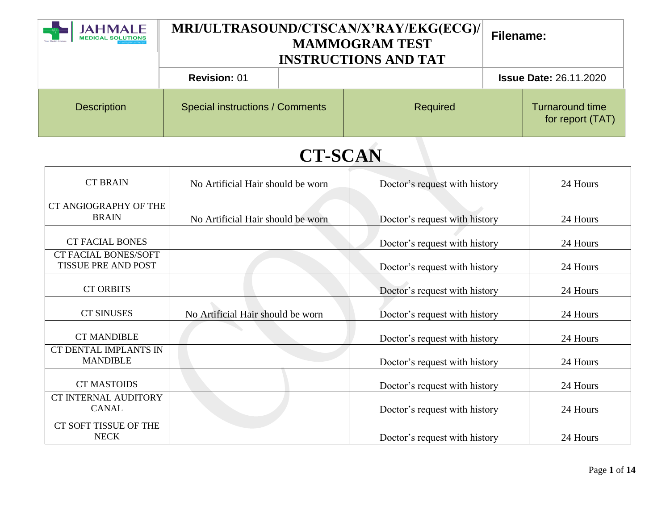| <b>JAHMALE</b><br><b>MEDICAL SOLUTIONS</b> | MRI/ULTRASOUND/CTSCAN/X'RAY/EKG(ECG)/<br><b>MAMMOGRAM TEST</b><br><b>INSTRUCTIONS AND TAT</b> |  |          | <b>Filename:</b> |                                            |
|--------------------------------------------|-----------------------------------------------------------------------------------------------|--|----------|------------------|--------------------------------------------|
|                                            | <b>Revision: 01</b>                                                                           |  |          |                  | <b>Issue Date: 26.11.2020</b>              |
| <b>Description</b>                         | <b>Special instructions / Comments</b>                                                        |  | Required |                  | <b>Turnaround time</b><br>for report (TAT) |

| <b>CT BRAIN</b>                                           | No Artificial Hair should be worn | Doctor's request with history | 24 Hours |
|-----------------------------------------------------------|-----------------------------------|-------------------------------|----------|
| CT ANGIOGRAPHY OF THE<br><b>BRAIN</b>                     | No Artificial Hair should be worn | Doctor's request with history | 24 Hours |
| <b>CT FACIAL BONES</b>                                    |                                   | Doctor's request with history | 24 Hours |
| <b>CT FACIAL BONES/SOFT</b><br><b>TISSUE PRE AND POST</b> |                                   | Doctor's request with history | 24 Hours |
| <b>CT ORBITS</b>                                          |                                   | Doctor's request with history | 24 Hours |
| <b>CT SINUSES</b>                                         | No Artificial Hair should be worn | Doctor's request with history | 24 Hours |
| <b>CT MANDIBLE</b>                                        |                                   | Doctor's request with history | 24 Hours |
| CT DENTAL IMPLANTS IN<br><b>MANDIBLE</b>                  |                                   | Doctor's request with history | 24 Hours |
| <b>CT MASTOIDS</b>                                        |                                   | Doctor's request with history | 24 Hours |
| <b>CT INTERNAL AUDITORY</b><br><b>CANAL</b>               |                                   | Doctor's request with history | 24 Hours |
| CT SOFT TISSUE OF THE<br><b>NECK</b>                      |                                   | Doctor's request with history | 24 Hours |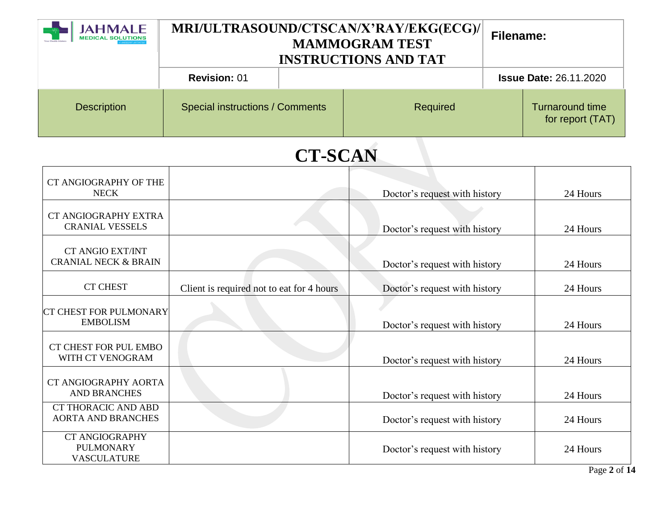| <b>JAHMALE</b><br><b>MEDICAL SOLUTIONS</b> | MRI/ULTRASOUND/CTSCAN/X'RAY/EKG(ECG)/<br><b>MAMMOGRAM TEST</b><br><b>INSTRUCTIONS AND TAT</b> |  |          | Filename: |                                            |
|--------------------------------------------|-----------------------------------------------------------------------------------------------|--|----------|-----------|--------------------------------------------|
|                                            | <b>Revision: 01</b>                                                                           |  |          |           | <b>Issue Date: 26.11.2020</b>              |
| <b>Description</b>                         | <b>Special instructions / Comments</b>                                                        |  | Required |           | <b>Turnaround time</b><br>for report (TAT) |

| CT ANGIOGRAPHY OF THE<br><b>NECK</b>                            |                                           | Doctor's request with history | 24 Hours |
|-----------------------------------------------------------------|-------------------------------------------|-------------------------------|----------|
| CT ANGIOGRAPHY EXTRA<br><b>CRANIAL VESSELS</b>                  |                                           | Doctor's request with history | 24 Hours |
| <b>CT ANGIO EXT/INT</b><br><b>CRANIAL NECK &amp; BRAIN</b>      |                                           | Doctor's request with history | 24 Hours |
| <b>CT CHEST</b>                                                 | Client is required not to eat for 4 hours | Doctor's request with history | 24 Hours |
| <b>CT CHEST FOR PULMONARY</b><br><b>EMBOLISM</b>                |                                           | Doctor's request with history | 24 Hours |
| CT CHEST FOR PUL EMBO<br>WITH CT VENOGRAM                       |                                           | Doctor's request with history | 24 Hours |
| CT ANGIOGRAPHY AORTA<br><b>AND BRANCHES</b>                     |                                           | Doctor's request with history | 24 Hours |
| <b>CT THORACIC AND ABD</b><br><b>AORTA AND BRANCHES</b>         |                                           | Doctor's request with history | 24 Hours |
| <b>CT ANGIOGRAPHY</b><br><b>PULMONARY</b><br><b>VASCULATURE</b> |                                           | Doctor's request with history | 24 Hours |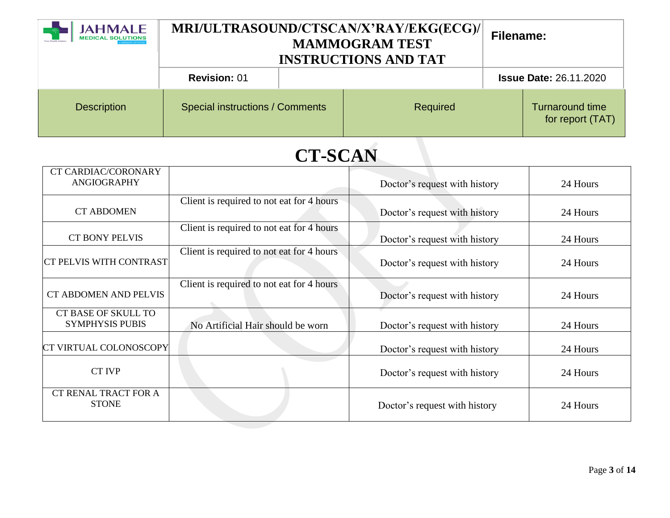| <b>JAHMALE</b><br><b>MEDICAL SOLUTIONS</b> | MRI/ULTRASOUND/CTSCAN/X'RAY/EKG(ECG)/<br><b>MAMMOGRAM TEST</b><br><b>INSTRUCTIONS AND TAT</b> |  |          | <b>Filename:</b> |                                            |
|--------------------------------------------|-----------------------------------------------------------------------------------------------|--|----------|------------------|--------------------------------------------|
|                                            | <b>Revision: 01</b>                                                                           |  |          |                  | <b>Issue Date: 26.11.2020</b>              |
| <b>Description</b>                         | <b>Special instructions / Comments</b>                                                        |  | Required |                  | <b>Turnaround time</b><br>for report (TAT) |

| <b>CT CARDIAC/CORONARY</b><br><b>ANGIOGRAPHY</b> |                                           | Doctor's request with history | 24 Hours |
|--------------------------------------------------|-------------------------------------------|-------------------------------|----------|
|                                                  |                                           |                               |          |
| <b>CT ABDOMEN</b>                                | Client is required to not eat for 4 hours | Doctor's request with history | 24 Hours |
| <b>CT BONY PELVIS</b>                            | Client is required to not eat for 4 hours | Doctor's request with history | 24 Hours |
| <b>CT PELVIS WITH CONTRAST</b>                   | Client is required to not eat for 4 hours | Doctor's request with history | 24 Hours |
| <b>CT ABDOMEN AND PELVIS</b>                     | Client is required to not eat for 4 hours | Doctor's request with history | 24 Hours |
| CT BASE OF SKULL TO<br><b>SYMPHYSIS PUBIS</b>    | No Artificial Hair should be worn         | Doctor's request with history | 24 Hours |
| CT VIRTUAL COLONOSCOPY                           |                                           | Doctor's request with history | 24 Hours |
| <b>CT IVP</b>                                    |                                           | Doctor's request with history | 24 Hours |
| CT RENAL TRACT FOR A<br><b>STONE</b>             |                                           | Doctor's request with history | 24 Hours |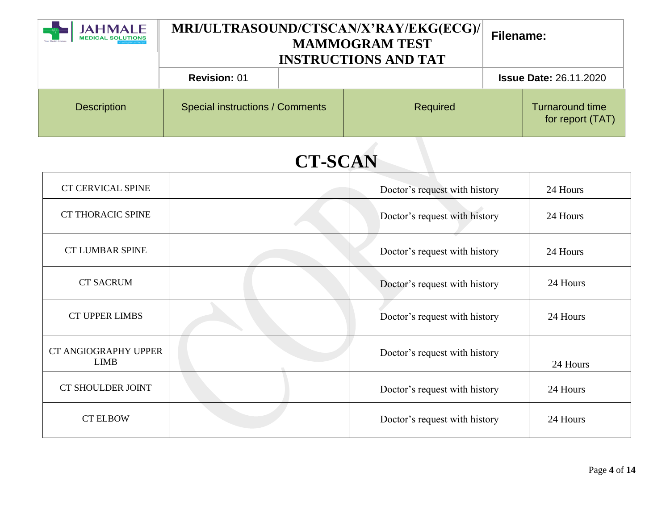| <b>JAHMALE</b><br><b>MEDICAL SOLUTIONS</b> | MRI/ULTRASOUND/CTSCAN/X'RAY/EKG(ECG)/<br><b>MAMMOGRAM TEST</b><br><b>INSTRUCTIONS AND TAT</b> |  |          | Filename: |                                            |
|--------------------------------------------|-----------------------------------------------------------------------------------------------|--|----------|-----------|--------------------------------------------|
|                                            | <b>Revision: 01</b>                                                                           |  |          |           | <b>Issue Date: 26.11.2020</b>              |
| <b>Description</b>                         | <b>Special instructions / Comments</b>                                                        |  | Required |           | <b>Turnaround time</b><br>for report (TAT) |

| <b>CT CERVICAL SPINE</b>            |  | Doctor's request with history | 24 Hours |
|-------------------------------------|--|-------------------------------|----------|
| <b>CT THORACIC SPINE</b>            |  | Doctor's request with history | 24 Hours |
| <b>CT LUMBAR SPINE</b>              |  | Doctor's request with history | 24 Hours |
| <b>CT SACRUM</b>                    |  | Doctor's request with history | 24 Hours |
| <b>CT UPPER LIMBS</b>               |  | Doctor's request with history | 24 Hours |
| CT ANGIOGRAPHY UPPER<br><b>LIMB</b> |  | Doctor's request with history | 24 Hours |
| <b>CT SHOULDER JOINT</b>            |  | Doctor's request with history | 24 Hours |
| <b>CT ELBOW</b>                     |  | Doctor's request with history | 24 Hours |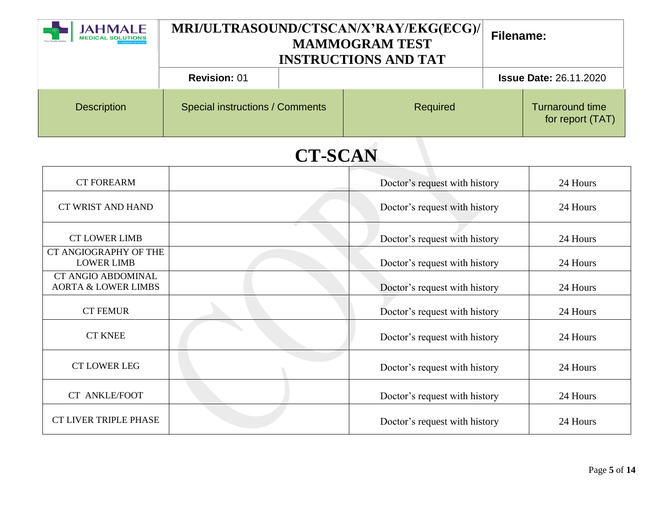| <b>JAHMALE</b><br><b>MEDICAL SOLUTIONS</b> | MRI/ULTRASOUND/CTSCAN/X'RAY/EKG(ECG)/<br><b>MAMMOGRAM TEST</b><br><b>INSTRUCTIONS AND TAT</b> |  |          | Filename: |                                            |
|--------------------------------------------|-----------------------------------------------------------------------------------------------|--|----------|-----------|--------------------------------------------|
|                                            | <b>Revision: 01</b>                                                                           |  |          |           | <b>Issue Date: 26.11.2020</b>              |
| <b>Description</b>                         | <b>Special instructions / Comments</b>                                                        |  | Required |           | <b>Turnaround time</b><br>for report (TAT) |

| <b>CT FOREARM</b>                                           | Doctor's request with history | 24 Hours |
|-------------------------------------------------------------|-------------------------------|----------|
| CT WRIST AND HAND                                           | Doctor's request with history | 24 Hours |
| <b>CT LOWER LIMB</b>                                        | Doctor's request with history | 24 Hours |
| CT ANGIOGRAPHY OF THE<br><b>LOWER LIMB</b>                  | Doctor's request with history | 24 Hours |
| <b>CT ANGIO ABDOMINAL</b><br><b>AORTA &amp; LOWER LIMBS</b> | Doctor's request with history | 24 Hours |
| <b>CT FEMUR</b>                                             | Doctor's request with history | 24 Hours |
| <b>CT KNEE</b>                                              | Doctor's request with history | 24 Hours |
| <b>CT LOWER LEG</b>                                         | Doctor's request with history | 24 Hours |
| <b>CT ANKLE/FOOT</b>                                        | Doctor's request with history | 24 Hours |
| <b>CT LIVER TRIPLE PHASE</b>                                | Doctor's request with history | 24 Hours |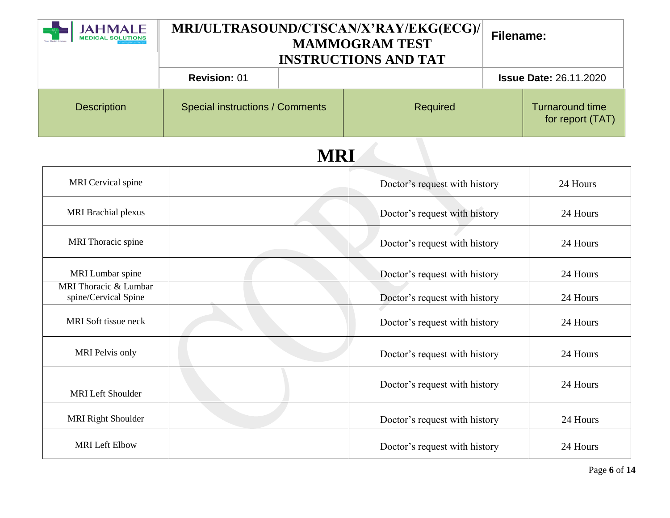| <b>AHMALE</b>                                 | MRI/ULTRASOUND/CTSCAN/X'RAY/EKG(ECG)/<br><b>MAMMOGRAM TEST</b><br><b>INSTRUCTIONS AND TAT</b> |  |                               | <b>Filename:</b>                           |                               |
|-----------------------------------------------|-----------------------------------------------------------------------------------------------|--|-------------------------------|--------------------------------------------|-------------------------------|
|                                               | <b>Revision: 01</b>                                                                           |  |                               |                                            | <b>Issue Date: 26.11.2020</b> |
| <b>Description</b>                            | <b>Special instructions / Comments</b><br>Required                                            |  |                               | <b>Turnaround time</b><br>for report (TAT) |                               |
| <b>MRI</b>                                    |                                                                                               |  |                               |                                            |                               |
| MRI Cervical spine                            |                                                                                               |  | Doctor's request with history |                                            | 24 Hours                      |
| <b>MRI</b> Brachial plexus                    |                                                                                               |  | Doctor's request with history |                                            | 24 Hours                      |
| MRI Thoracic spine                            |                                                                                               |  | Doctor's request with history |                                            | 24 Hours                      |
| MRI Lumbar spine                              |                                                                                               |  | Doctor's request with history |                                            | 24 Hours                      |
| MRI Thoracic & Lumbar<br>spine/Cervical Spine |                                                                                               |  | Doctor's request with history |                                            | 24 Hours                      |
| MRI Soft tissue neck                          |                                                                                               |  | Doctor's request with history |                                            | 24 Hours                      |
| MRI Pelvis only                               |                                                                                               |  | Doctor's request with history |                                            | 24 Hours                      |
| MRI Left Shoulder                             |                                                                                               |  | Doctor's request with history |                                            | 24 Hours                      |
| <b>MRI Right Shoulder</b>                     |                                                                                               |  | Doctor's request with history |                                            | 24 Hours                      |
| <b>MRI</b> Left Elbow                         |                                                                                               |  | Doctor's request with history |                                            | 24 Hours                      |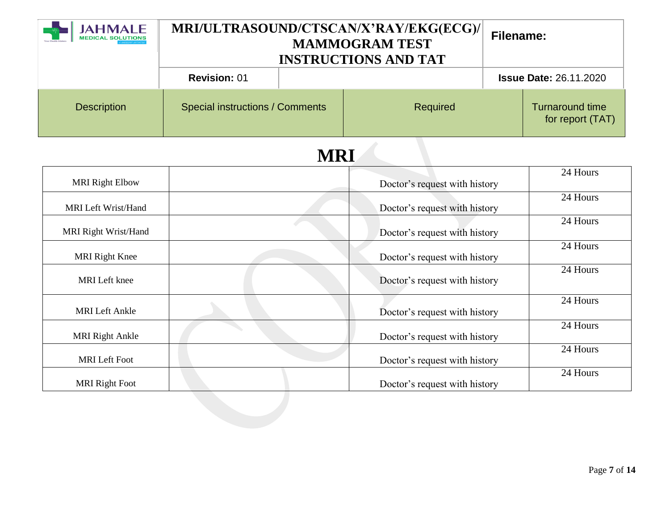|                            | MRI/ULTRASOUND/CTSCAN/X'RAY/EKG(ECG)/<br><b>MAMMOGRAM TEST</b><br><b>INSTRUCTIONS AND TAT</b> |  |                               | <b>Filename:</b> |                                            |
|----------------------------|-----------------------------------------------------------------------------------------------|--|-------------------------------|------------------|--------------------------------------------|
|                            | <b>Revision: 01</b>                                                                           |  |                               |                  | <b>Issue Date: 26.11.2020</b>              |
| <b>Description</b>         | <b>Special instructions / Comments</b>                                                        |  | Required                      |                  | <b>Turnaround time</b><br>for report (TAT) |
| <b>MRI</b>                 |                                                                                               |  |                               |                  |                                            |
| <b>MRI Right Elbow</b>     |                                                                                               |  | Doctor's request with history |                  | 24 Hours                                   |
| <b>MRI</b> Left Wrist/Hand |                                                                                               |  | Doctor's request with history |                  | $24$ Hours                                 |
| MRI Right Wrist/Hand       |                                                                                               |  | Doctor's request with history |                  | 24 Hours                                   |
| <b>MRI</b> Right Knee      |                                                                                               |  | Doctor's request with history |                  | 24 Hours                                   |
| <b>MRI</b> Left knee       |                                                                                               |  | Doctor's request with history |                  | 24 Hours                                   |
| <b>MRI</b> Left Ankle      |                                                                                               |  | Doctor's request with history |                  | 24 Hours                                   |
| <b>MRI Right Ankle</b>     |                                                                                               |  | Doctor's request with history |                  | 24 Hours                                   |
| <b>MRI</b> Left Foot       |                                                                                               |  | Doctor's request with history |                  | 24 Hours                                   |
| <b>MRI Right Foot</b>      |                                                                                               |  | Doctor's request with history |                  | 24 Hours                                   |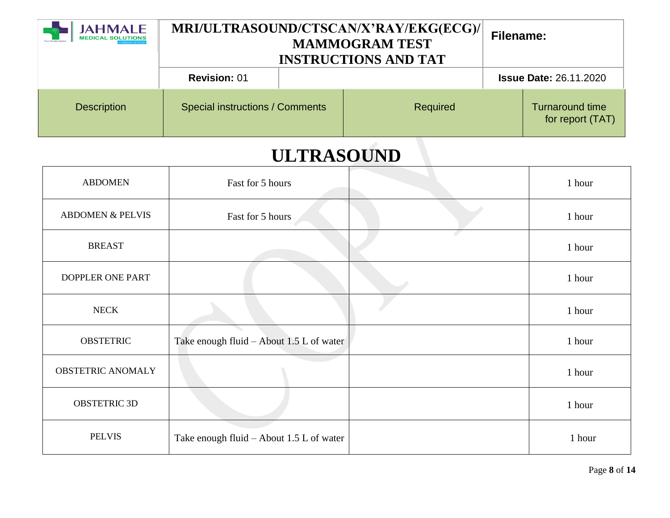| <b>JAHMALE</b><br><b>MEDICAL SOLUTIONS</b> | MRI/ULTRASOUND/CTSCAN/X'RAY/EKG(ECG)/<br><b>MAMMOGRAM TEST</b><br><b>INSTRUCTIONS AND TAT</b> |  |          | Filename: |                                            |
|--------------------------------------------|-----------------------------------------------------------------------------------------------|--|----------|-----------|--------------------------------------------|
|                                            | <b>Revision: 01</b>                                                                           |  |          |           | <b>Issue Date: 26.11.2020</b>              |
| <b>Description</b>                         | Special instructions / Comments                                                               |  | Required |           | <b>Turnaround time</b><br>for report (TAT) |

## **ULTRASOUND**

| <b>ABDOMEN</b>              | Fast for 5 hours                         | 1 hour |
|-----------------------------|------------------------------------------|--------|
| <b>ABDOMEN &amp; PELVIS</b> | Fast for 5 hours                         | 1 hour |
| <b>BREAST</b>               |                                          | 1 hour |
| DOPPLER ONE PART            |                                          | 1 hour |
| <b>NECK</b>                 |                                          | 1 hour |
| <b>OBSTETRIC</b>            | Take enough fluid - About 1.5 L of water | 1 hour |
| <b>OBSTETRIC ANOMALY</b>    |                                          | 1 hour |
| <b>OBSTETRIC 3D</b>         |                                          | 1 hour |
| <b>PELVIS</b>               | Take enough fluid – About 1.5 L of water | 1 hour |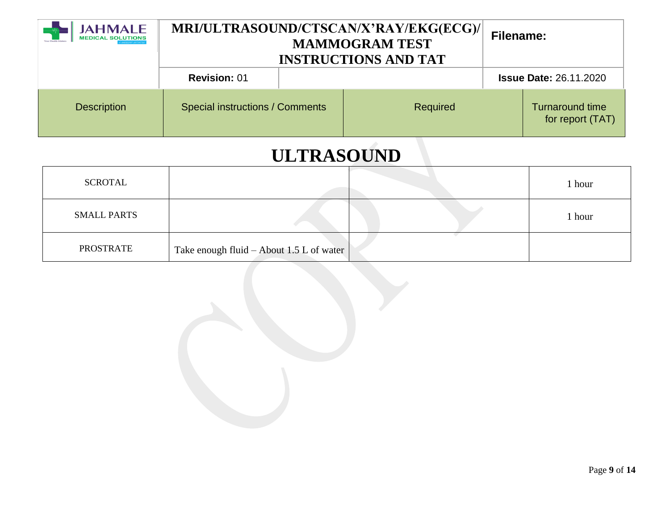| <b>JAHMALE</b><br><b>MEDICAL SOLUTIONS</b> | MRI/ULTRASOUND/CTSCAN/X'RAY/EKG(ECG)/<br><b>MAMMOGRAM TEST</b><br><b>INSTRUCTIONS AND TAT</b> |  |          | <b>Filename:</b> |                                            |
|--------------------------------------------|-----------------------------------------------------------------------------------------------|--|----------|------------------|--------------------------------------------|
|                                            | <b>Revision: 01</b>                                                                           |  |          |                  | <b>Issue Date: 26.11.2020</b>              |
| <b>Description</b>                         | Special instructions / Comments                                                               |  | Required |                  | <b>Turnaround time</b><br>for report (TAT) |

# **ULTRASOUND**

| SCROTAL            |                                                  |  | 1 hour |
|--------------------|--------------------------------------------------|--|--------|
| <b>SMALL PARTS</b> |                                                  |  | 1 hour |
| <b>PROSTRATE</b>   | Take enough fluid – About 1.5 L of water $\vert$ |  |        |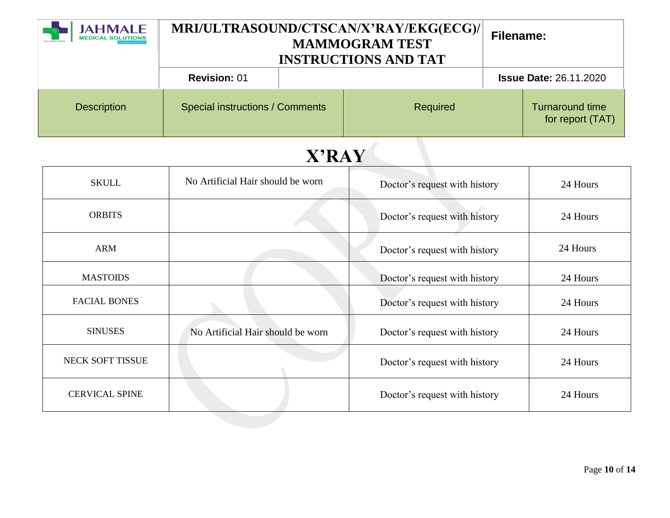| <b>JAHMALE</b><br><b>MEDICAL SOLUTIONS</b> | MRI/ULTRASOUND/CTSCAN/X'RAY/EKG(ECG)/<br><b>MAMMOGRAM TEST</b><br><b>INSTRUCTIONS AND TAT</b> |  |          | Filename: |                                            |
|--------------------------------------------|-----------------------------------------------------------------------------------------------|--|----------|-----------|--------------------------------------------|
|                                            | <b>Revision: 01</b>                                                                           |  |          |           | <b>Issue Date: 26.11.2020</b>              |
| <b>Description</b>                         | <b>Special instructions / Comments</b>                                                        |  | Required |           | <b>Turnaround time</b><br>for report (TAT) |

| <b>SKULL</b>          | No Artificial Hair should be worn | Doctor's request with history | 24 Hours |
|-----------------------|-----------------------------------|-------------------------------|----------|
| <b>ORBITS</b>         |                                   | Doctor's request with history | 24 Hours |
| <b>ARM</b>            |                                   | Doctor's request with history | 24 Hours |
| <b>MASTOIDS</b>       |                                   | Doctor's request with history | 24 Hours |
| <b>FACIAL BONES</b>   |                                   | Doctor's request with history | 24 Hours |
| <b>SINUSES</b>        | No Artificial Hair should be worn | Doctor's request with history | 24 Hours |
| NECK SOFT TISSUE      |                                   | Doctor's request with history | 24 Hours |
| <b>CERVICAL SPINE</b> |                                   | Doctor's request with history | 24 Hours |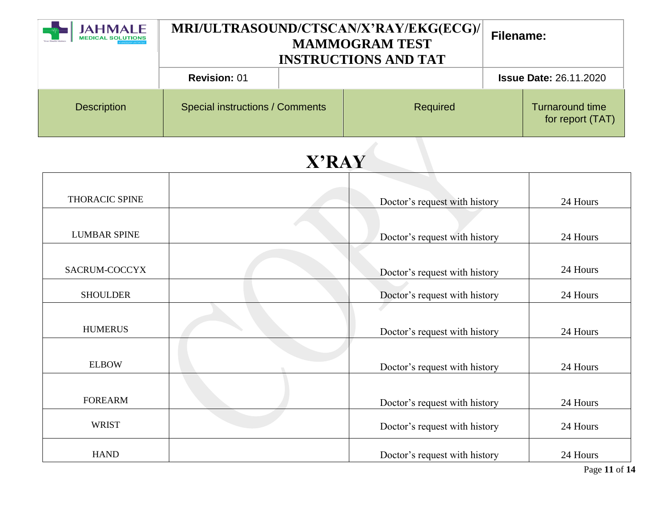| <b>JAHMALE</b><br><b>MEDICAL SOLUTIONS</b> | MRI/ULTRASOUND/CTSCAN/X'RAY/EKG(ECG)/<br><b>MAMMOGRAM TEST</b><br><b>INSTRUCTIONS AND TAT</b> |  |          | Filename: |                                            |
|--------------------------------------------|-----------------------------------------------------------------------------------------------|--|----------|-----------|--------------------------------------------|
|                                            | <b>Revision: 01</b>                                                                           |  |          |           | <b>Issue Date: 26.11.2020</b>              |
| <b>Description</b>                         | <b>Special instructions / Comments</b>                                                        |  | Required |           | <b>Turnaround time</b><br>for report (TAT) |

| THORACIC SPINE      | Doctor's request with history | 24 Hours |
|---------------------|-------------------------------|----------|
|                     |                               |          |
| <b>LUMBAR SPINE</b> | Doctor's request with history | 24 Hours |
|                     |                               |          |
| SACRUM-COCCYX       | Doctor's request with history | 24 Hours |
| <b>SHOULDER</b>     | Doctor's request with history | 24 Hours |
|                     |                               |          |
| <b>HUMERUS</b>      | Doctor's request with history | 24 Hours |
|                     |                               |          |
| <b>ELBOW</b>        | Doctor's request with history | 24 Hours |
|                     |                               |          |
| <b>FOREARM</b>      | Doctor's request with history | 24 Hours |
| <b>WRIST</b>        | Doctor's request with history | 24 Hours |
| <b>HAND</b>         | Doctor's request with history | 24 Hours |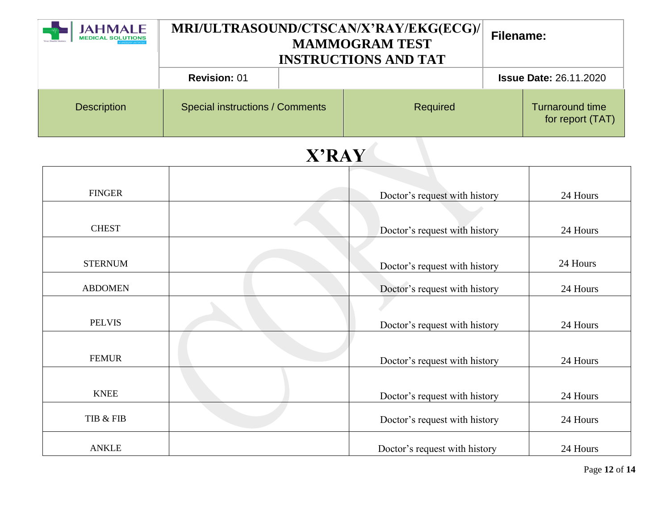| <b>JAHMALE</b><br><b>MEDICAL SOLUTIONS</b> | MRI/ULTRASOUND/CTSCAN/X'RAY/EKG(ECG)/<br><b>MAMMOGRAM TEST</b><br><b>INSTRUCTIONS AND TAT</b> |  |          | Filename: |                                            |
|--------------------------------------------|-----------------------------------------------------------------------------------------------|--|----------|-----------|--------------------------------------------|
|                                            | <b>Revision: 01</b>                                                                           |  |          |           | <b>Issue Date: 26.11.2020</b>              |
| <b>Description</b>                         | <b>Special instructions / Comments</b>                                                        |  | Required |           | <b>Turnaround time</b><br>for report (TAT) |

| <b>FINGER</b>  | Doctor's request with history | 24 Hours |
|----------------|-------------------------------|----------|
|                |                               |          |
| <b>CHEST</b>   | Doctor's request with history | 24 Hours |
|                |                               |          |
| <b>STERNUM</b> | Doctor's request with history | 24 Hours |
| <b>ABDOMEN</b> | Doctor's request with history | 24 Hours |
|                |                               |          |
| <b>PELVIS</b>  | Doctor's request with history | 24 Hours |
|                |                               |          |
| <b>FEMUR</b>   | Doctor's request with history | 24 Hours |
|                |                               |          |
| <b>KNEE</b>    | Doctor's request with history | 24 Hours |
| TIB & FIB      | Doctor's request with history | 24 Hours |
| <b>ANKLE</b>   | Doctor's request with history | 24 Hours |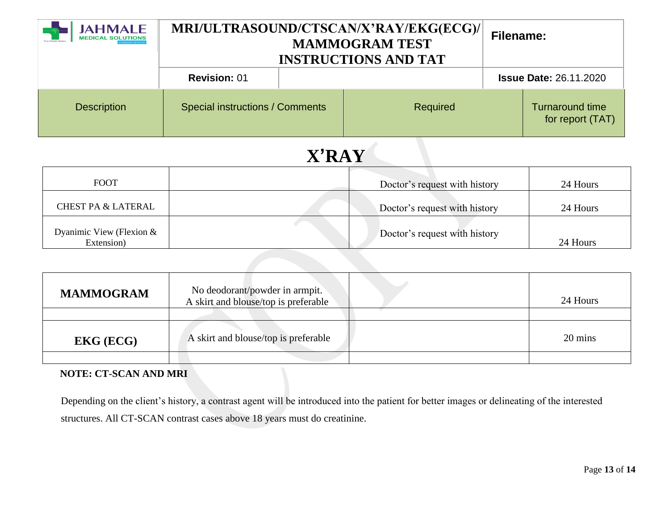| <b>JAHMALE</b><br><b>MEDICAL SOLUTIONS</b> | MRI/ULTRASOUND/CTSCAN/X'RAY/EKG(ECG)/<br><b>MAMMOGRAM TEST</b><br><b>INSTRUCTIONS AND TAT</b> |  |          | Filename: |                                            |
|--------------------------------------------|-----------------------------------------------------------------------------------------------|--|----------|-----------|--------------------------------------------|
|                                            | <b>Revision: 01</b>                                                                           |  |          |           | <b>Issue Date: 26.11.2020</b>              |
| <b>Description</b>                         | <b>Special instructions / Comments</b>                                                        |  | Required |           | <b>Turnaround time</b><br>for report (TAT) |

| <b>FOOT</b>                            | Doctor's request with history | 24 Hours |
|----------------------------------------|-------------------------------|----------|
| <b>CHEST PA &amp; LATERAL</b>          | Doctor's request with history | 24 Hours |
| Dyanimic View (Flexion &<br>Extension) | Doctor's request with history | 24 Hours |

| <b>MAMMOGRAM</b>          | No deodorant/powder in armpit.<br>A skirt and blouse/top is preferable | 24 Hours |
|---------------------------|------------------------------------------------------------------------|----------|
|                           |                                                                        |          |
| <b>EKG</b> ( <b>ECG</b> ) | A skirt and blouse/top is preferable                                   | 20 mins  |
|                           |                                                                        |          |

#### **NOTE: CT-SCAN AND MRI**

Depending on the client's history, a contrast agent will be introduced into the patient for better images or delineating of the interested structures. All CT-SCAN contrast cases above 18 years must do creatinine.